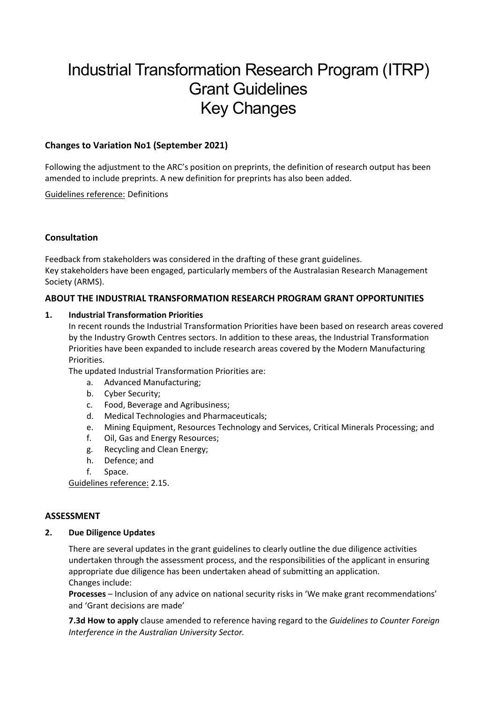# Industrial Transformation Research Program (ITRP) Grant Guidelines Key Changes

# **Changes to Variation No1 (September 2021)**

Following the adjustment to the ARC's position on preprints, the definition of research output has been amended to include preprints. A new definition for preprints has also been added.

Guidelines reference: Definitions

# **Consultation**

Feedback from stakeholders was considered in the drafting of these grant guidelines. Key stakeholders have been engaged, particularly members of the Australasian Research Management Society (ARMS).

# **ABOUT THE INDUSTRIAL TRANSFORMATION RESEARCH PROGRAM GRANT OPPORTUNITIES**

# **1. Industrial Transformation Priorities**

In recent rounds the Industrial Transformation Priorities have been based on research areas covered by the Industry Growth Centres sectors. In addition to these areas, the Industrial Transformation Priorities have been expanded to include research areas covered by the Modern Manufacturing Priorities.

The updated Industrial Transformation Priorities are:

- a. Advanced Manufacturing;
- b. Cyber Security;
- c. Food, Beverage and Agribusiness;
- d. Medical Technologies and Pharmaceuticals;
- e. Mining Equipment, Resources Technology and Services, Critical Minerals Processing; and
- f. Oil, Gas and Energy Resources;
- g. Recycling and Clean Energy;
- h. Defence; and
- f. Space.

Guidelines reference: 2.15.

#### **ASSESSMENT**

#### **2. Due Diligence Updates**

There are several updates in the grant guidelines to clearly outline the due diligence activities undertaken through the assessment process, and the responsibilities of the applicant in ensuring appropriate due diligence has been undertaken ahead of submitting an application. Changes include:

**Processes** – Inclusion of any advice on national security risks in 'We make grant recommendations' and 'Grant decisions are made'

**7.3d How to apply** clause amended to reference having regard to the *Guidelines to Counter Foreign Interference in the Australian University Sector.*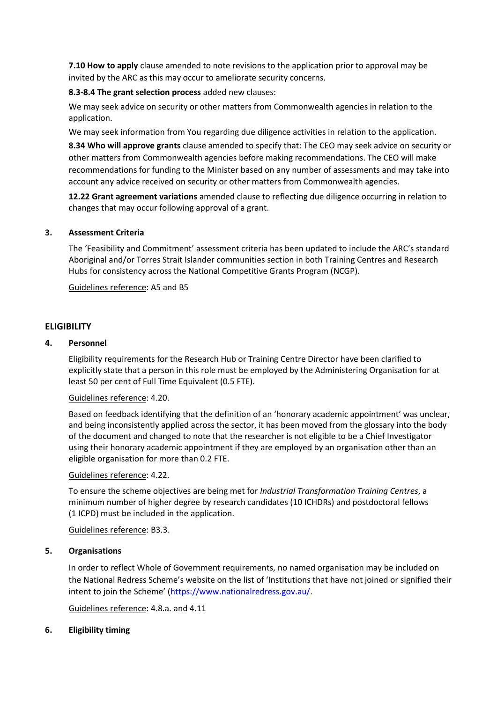**7.10 How to apply** clause amended to note revisions to the application prior to approval may be invited by the ARC as this may occur to ameliorate security concerns.

# **8.3-8.4 The grant selection process** added new clauses:

We may seek advice on security or other matters from Commonwealth agencies in relation to the application.

We may seek information from You regarding due diligence activities in relation to the application.

**8.34 Who will approve grants** clause amended to specify that: The CEO may seek advice on security or other matters from Commonwealth agencies before making recommendations. The CEO will make recommendations for funding to the Minister based on any number of assessments and may take into account any advice received on security or other matters from Commonwealth agencies.

**12.22 Grant agreement variations** amended clause to reflecting due diligence occurring in relation to changes that may occur following approval of a grant.

# **3. Assessment Criteria**

The 'Feasibility and Commitment' assessment criteria has been updated to include the ARC's standard Aboriginal and/or Torres Strait Islander communities section in both Training Centres and Research Hubs for consistency across the National Competitive Grants Program (NCGP).

Guidelines reference: A5 and B5

# **ELIGIBILITY**

# **4. Personnel**

Eligibility requirements for the Research Hub or Training Centre Director have been clarified to explicitly state that a person in this role must be employed by the Administering Organisation for at least 50 per cent of Full Time Equivalent (0.5 FTE).

#### Guidelines reference: 4.20.

Based on feedback identifying that the definition of an 'honorary academic appointment' was unclear, and being inconsistently applied across the sector, it has been moved from the glossary into the body of the document and changed to note that the researcher is not eligible to be a Chief Investigator using their honorary academic appointment if they are employed by an organisation other than an eligible organisation for more than 0.2 FTE.

#### Guidelines reference: 4.22.

To ensure the scheme objectives are being met for *Industrial Transformation Training Centres*, a minimum number of higher degree by research candidates (10 ICHDRs) and postdoctoral fellows (1 ICPD) must be included in the application.

Guidelines reference: B3.3.

#### **5. Organisations**

In order to reflect Whole of Government requirements, no named organisation may be included on the National Redress Scheme's website on the list of 'Institutions that have not joined or signified their intent to join the Scheme' ([https://www.nationalredress.gov.au/.](https://www.nationalredress.gov.au/)

Guidelines reference: 4.8.a. and 4.11

#### **6. Eligibility timing**